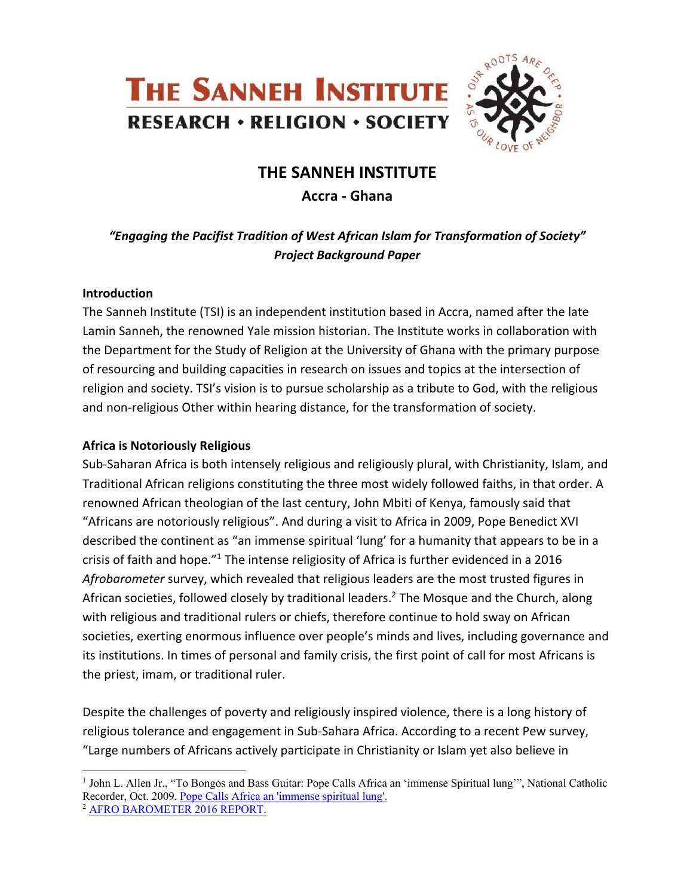



# **THE SANNEH INSTITUTE**

# **Accra - Ghana**

*"Engaging the Pacifist Tradition of West African Islam for Transformation of Society" Project Background Paper*

### **Introduction**

The Sanneh Institute (TSI) is an independent institution based in Accra, named after the late Lamin Sanneh, the renowned Yale mission historian. The Institute works in collaboration with the Department for the Study of Religion at the University of Ghana with the primary purpose of resourcing and building capacities in research on issues and topics at the intersection of religion and society. TSI's vision is to pursue scholarship as a tribute to God, with the religious and non-religious Other within hearing distance, for the transformation of society.

## **Africa is Notoriously Religious**

Sub-Saharan Africa is both intensely religious and religiously plural, with Christianity, Islam, and Traditional African religions constituting the three most widely followed faiths, in that order. A renowned African theologian of the last century, John Mbiti of Kenya, famously said that "Africans are notoriously religious". And during a visit to Africa in 2009, Pope Benedict XVI described the continent as "an immense spiritual 'lung' for a humanity that appears to be in a crisis of faith and hope."<sup>1</sup> The intense religiosity of Africa is further evidenced in a 2016 *Afrobarometer* survey, which revealed that religious leaders are the most trusted figures in African societies, followed closely by traditional leaders.2 The Mosque and the Church, along with religious and traditional rulers or chiefs, therefore continue to hold sway on African societies, exerting enormous influence over people's minds and lives, including governance and its institutions. In times of personal and family crisis, the first point of call for most Africans is the priest, imam, or traditional ruler.

Despite the challenges of poverty and religiously inspired violence, there is a long history of religious tolerance and engagement in Sub-Sahara Africa. According to a recent Pew survey, "Large numbers of Africans actively participate in Christianity or Islam yet also believe in

<sup>&</sup>lt;sup>1</sup> John L. Allen Jr., "To Bongos and Bass Guitar: Pope Calls Africa an 'immense Spiritual lung'", National Catholic Recorder, Oct. 2009. Pope Calls Africa an 'immense spiritual lung'. 2 AFRO BAROMETER 2016 REPORT.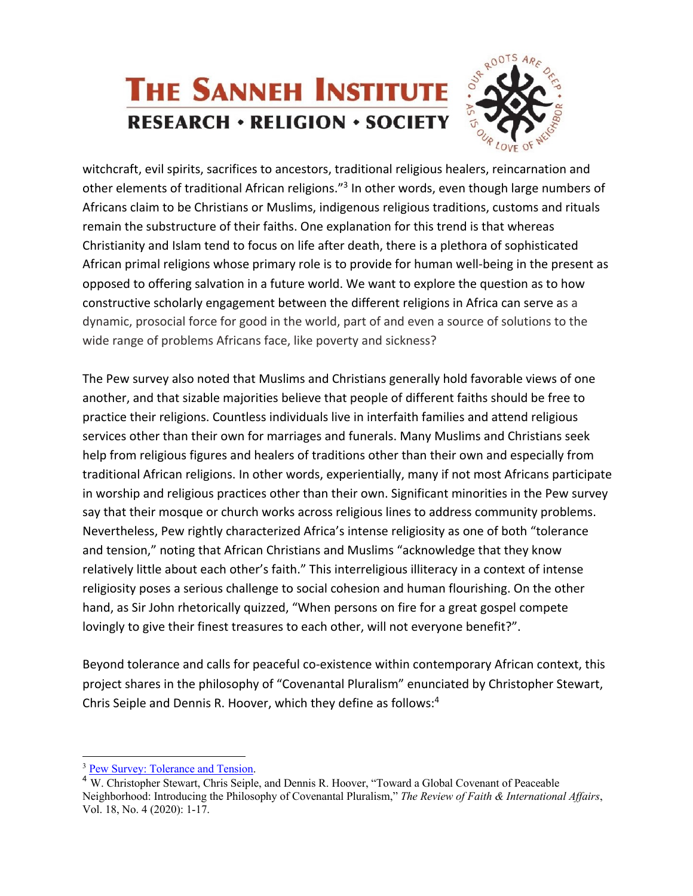# **THE SANNEH INSTITUTE RESEARCH · RELIGION · SOCIETY**

witchcraft, evil spirits, sacrifices to ancestors, traditional religious healers, reincarnation and other elements of traditional African religions."3 In other words, even though large numbers of Africans claim to be Christians or Muslims, indigenous religious traditions, customs and rituals remain the substructure of their faiths. One explanation for this trend is that whereas Christianity and Islam tend to focus on life after death, there is a plethora of sophisticated African primal religions whose primary role is to provide for human well-being in the present as opposed to offering salvation in a future world. We want to explore the question as to how constructive scholarly engagement between the different religions in Africa can serve as a dynamic, prosocial force for good in the world, part of and even a source of solutions to the wide range of problems Africans face, like poverty and sickness?

The Pew survey also noted that Muslims and Christians generally hold favorable views of one another, and that sizable majorities believe that people of different faiths should be free to practice their religions. Countless individuals live in interfaith families and attend religious services other than their own for marriages and funerals. Many Muslims and Christians seek help from religious figures and healers of traditions other than their own and especially from traditional African religions. In other words, experientially, many if not most Africans participate in worship and religious practices other than their own. Significant minorities in the Pew survey say that their mosque or church works across religious lines to address community problems. Nevertheless, Pew rightly characterized Africa's intense religiosity as one of both "tolerance and tension," noting that African Christians and Muslims "acknowledge that they know relatively little about each other's faith." This interreligious illiteracy in a context of intense religiosity poses a serious challenge to social cohesion and human flourishing. On the other hand, as Sir John rhetorically quizzed, "When persons on fire for a great gospel compete lovingly to give their finest treasures to each other, will not everyone benefit?".

Beyond tolerance and calls for peaceful co-existence within contemporary African context, this project shares in the philosophy of "Covenantal Pluralism" enunciated by Christopher Stewart, Chris Seiple and Dennis R. Hoover, which they define as follows:4

<sup>&</sup>lt;sup>3</sup> Pew Survey: Tolerance and Tension.

<sup>4</sup> W. Christopher Stewart, Chris Seiple, and Dennis R. Hoover, "Toward a Global Covenant of Peaceable Neighborhood: Introducing the Philosophy of Covenantal Pluralism," *The Review of Faith & International Affairs*, Vol. 18, No. 4 (2020): 1-17.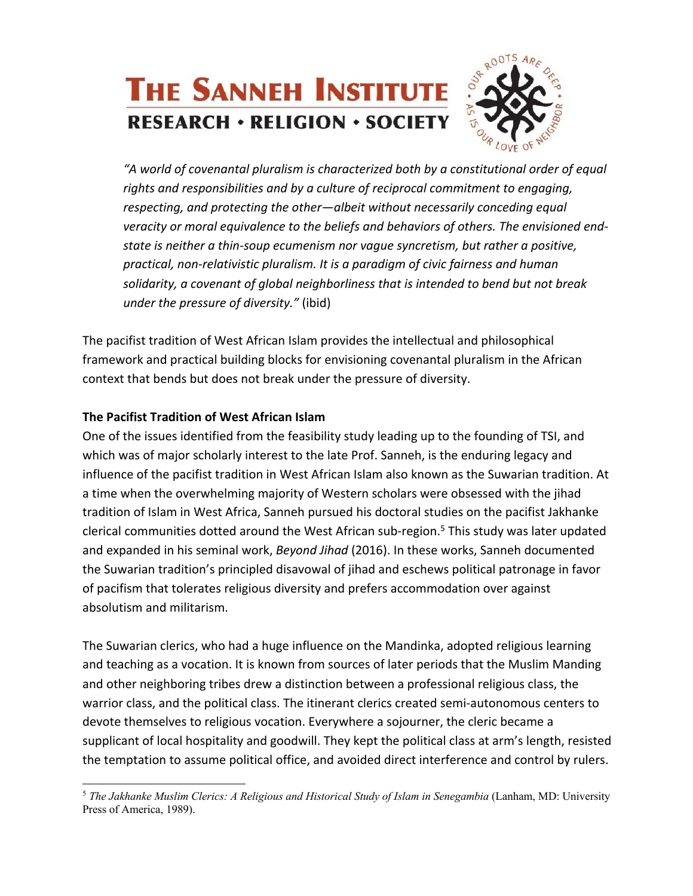# **THE SANNEH INSTITUTE RESEARCH · RELIGION · SOCIETY**

*"A world of covenantal pluralism is characterized both by a constitutional order of equal rights and responsibilities and by a culture of reciprocal commitment to engaging, respecting, and protecting the other—albeit without necessarily conceding equal veracity or moral equivalence to the beliefs and behaviors of others. The envisioned endstate is neither a thin-soup ecumenism nor vague syncretism, but rather a positive, practical, non-relativistic pluralism. It is a paradigm of civic fairness and human solidarity, a covenant of global neighborliness that is intended to bend but not break under the pressure of diversity."* (ibid)

The pacifist tradition of West African Islam provides the intellectual and philosophical framework and practical building blocks for envisioning covenantal pluralism in the African context that bends but does not break under the pressure of diversity.

# **The Pacifist Tradition of West African Islam**

One of the issues identified from the feasibility study leading up to the founding of TSI, and which was of major scholarly interest to the late Prof. Sanneh, is the enduring legacy and influence of the pacifist tradition in West African Islam also known as the Suwarian tradition. At a time when the overwhelming majority of Western scholars were obsessed with the jihad tradition of Islam in West Africa, Sanneh pursued his doctoral studies on the pacifist Jakhanke clerical communities dotted around the West African sub-region.<sup>5</sup> This study was later updated and expanded in his seminal work, *Beyond Jihad* (2016). In these works, Sanneh documented the Suwarian tradition's principled disavowal of jihad and eschews political patronage in favor of pacifism that tolerates religious diversity and prefers accommodation over against absolutism and militarism.

The Suwarian clerics, who had a huge influence on the Mandinka, adopted religious learning and teaching as a vocation. It is known from sources of later periods that the Muslim Manding and other neighboring tribes drew a distinction between a professional religious class, the warrior class, and the political class. The itinerant clerics created semi-autonomous centers to devote themselves to religious vocation. Everywhere a sojourner, the cleric became a supplicant of local hospitality and goodwill. They kept the political class at arm's length, resisted the temptation to assume political office, and avoided direct interference and control by rulers.

<sup>&</sup>lt;sup>5</sup> The Jakhanke Muslim Clerics: A Religious and Historical Study of Islam in Senegambia (Lanham, MD: University Press of America, 1989).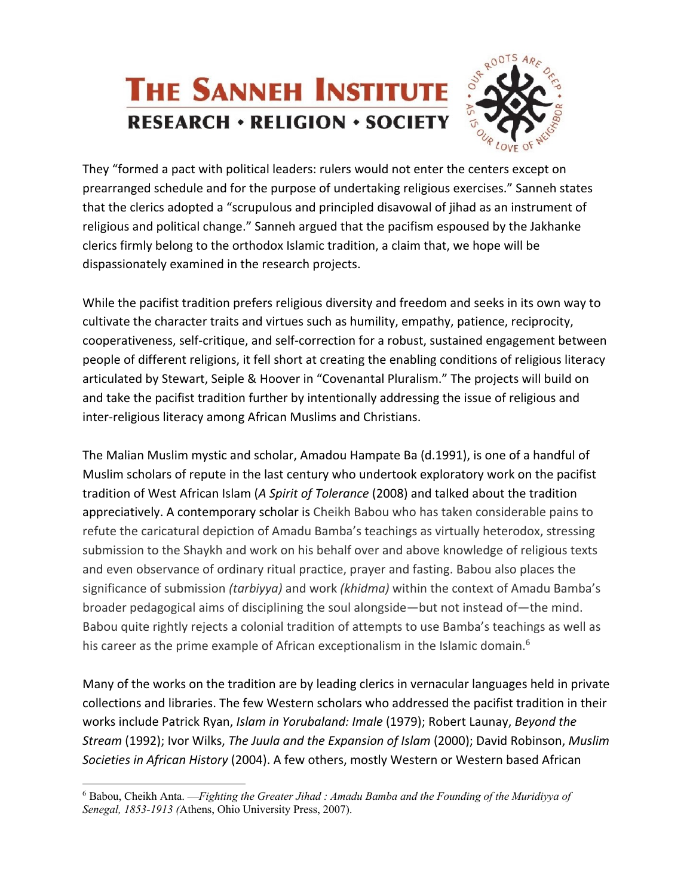

They "formed a pact with political leaders: rulers would not enter the centers except on prearranged schedule and for the purpose of undertaking religious exercises." Sanneh states that the clerics adopted a "scrupulous and principled disavowal of jihad as an instrument of religious and political change." Sanneh argued that the pacifism espoused by the Jakhanke clerics firmly belong to the orthodox Islamic tradition, a claim that, we hope will be dispassionately examined in the research projects.

While the pacifist tradition prefers religious diversity and freedom and seeks in its own way to cultivate the character traits and virtues such as humility, empathy, patience, reciprocity, cooperativeness, self-critique, and self-correction for a robust, sustained engagement between people of different religions, it fell short at creating the enabling conditions of religious literacy articulated by Stewart, Seiple & Hoover in "Covenantal Pluralism." The projects will build on and take the pacifist tradition further by intentionally addressing the issue of religious and inter-religious literacy among African Muslims and Christians.

The Malian Muslim mystic and scholar, Amadou Hampate Ba (d.1991), is one of a handful of Muslim scholars of repute in the last century who undertook exploratory work on the pacifist tradition of West African Islam (*A Spirit of Tolerance* (2008) and talked about the tradition appreciatively. A contemporary scholar is Cheikh Babou who has taken considerable pains to refute the caricatural depiction of Amadu Bamba's teachings as virtually heterodox, stressing submission to the Shaykh and work on his behalf over and above knowledge of religious texts and even observance of ordinary ritual practice, prayer and fasting. Babou also places the significance of submission *(tarbiyya)* and work *(khidma)* within the context of Amadu Bamba's broader pedagogical aims of disciplining the soul alongside—but not instead of—the mind. Babou quite rightly rejects a colonial tradition of attempts to use Bamba's teachings as well as his career as the prime example of African exceptionalism in the Islamic domain.<sup>6</sup>

Many of the works on the tradition are by leading clerics in vernacular languages held in private collections and libraries. The few Western scholars who addressed the pacifist tradition in their works include Patrick Ryan, *Islam in Yorubaland: Imale* (1979); Robert Launay, *Beyond the Stream* (1992); Ivor Wilks, *The Juula and the Expansion of Islam* (2000); David Robinson, *Muslim Societies in African History* (2004). A few others, mostly Western or Western based African

<sup>6</sup> Babou, Cheikh Anta. —*Fighting the Greater Jihad : Amadu Bamba and the Founding of the Muridiyya of Senegal, 1853-1913 (*Athens, Ohio University Press, 2007).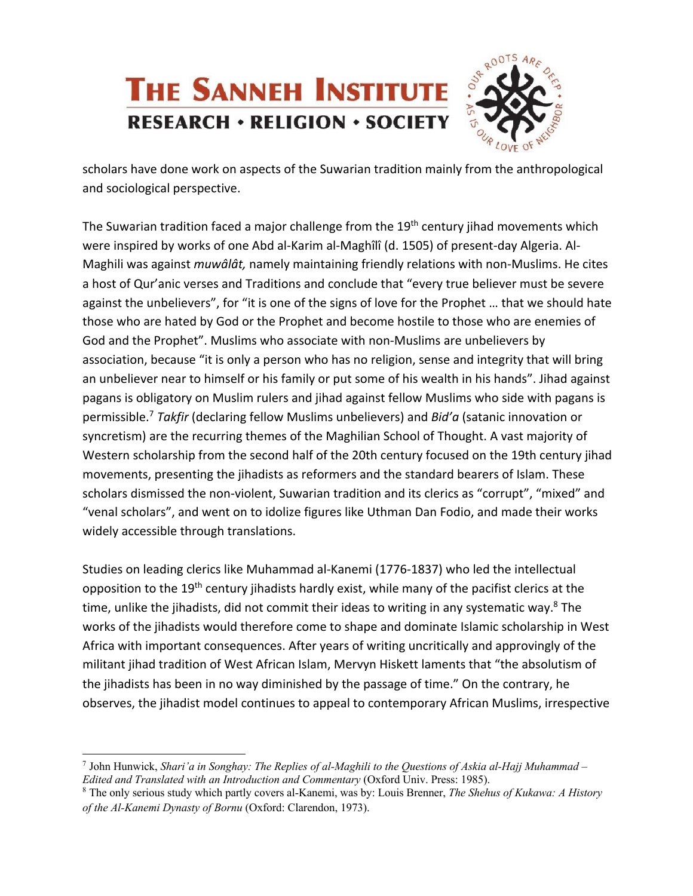

scholars have done work on aspects of the Suwarian tradition mainly from the anthropological and sociological perspective.

The Suwarian tradition faced a major challenge from the 19<sup>th</sup> century jihad movements which were inspired by works of one Abd al-Karim al-Maghîlî (d. 1505) of present-day Algeria. Al-Maghili was against *muwâlât,* namely maintaining friendly relations with non-Muslims. He cites a host of Qur'anic verses and Traditions and conclude that "every true believer must be severe against the unbelievers", for "it is one of the signs of love for the Prophet … that we should hate those who are hated by God or the Prophet and become hostile to those who are enemies of God and the Prophet". Muslims who associate with non-Muslims are unbelievers by association, because "it is only a person who has no religion, sense and integrity that will bring an unbeliever near to himself or his family or put some of his wealth in his hands". Jihad against pagans is obligatory on Muslim rulers and jihad against fellow Muslims who side with pagans is permissible.7 *Takfir* (declaring fellow Muslims unbelievers) and *Bid'a* (satanic innovation or syncretism) are the recurring themes of the Maghilian School of Thought. A vast majority of Western scholarship from the second half of the 20th century focused on the 19th century jihad movements, presenting the jihadists as reformers and the standard bearers of Islam. These scholars dismissed the non-violent, Suwarian tradition and its clerics as "corrupt", "mixed" and "venal scholars", and went on to idolize figures like Uthman Dan Fodio, and made their works widely accessible through translations.

Studies on leading clerics like Muhammad al-Kanemi (1776-1837) who led the intellectual opposition to the 19th century jihadists hardly exist, while many of the pacifist clerics at the time, unlike the jihadists, did not commit their ideas to writing in any systematic way.<sup>8</sup> The works of the jihadists would therefore come to shape and dominate Islamic scholarship in West Africa with important consequences. After years of writing uncritically and approvingly of the militant jihad tradition of West African Islam, Mervyn Hiskett laments that "the absolutism of the jihadists has been in no way diminished by the passage of time." On the contrary, he observes, the jihadist model continues to appeal to contemporary African Muslims, irrespective

<sup>7</sup> John Hunwick, *Shari'a in Songhay: The Replies of al-Maghili to the Questions of Askia al-Hajj Muhammad – Edited and Translated with an Introduction and Commentary* (Oxford Univ. Press: 1985).<br><sup>8</sup> The only serious study which partly covers al-Kanemi, was by: Louis Brenner, *The Shehus of Kukawa: A History* 

*of the Al-Kanemi Dynasty of Bornu* (Oxford: Clarendon, 1973).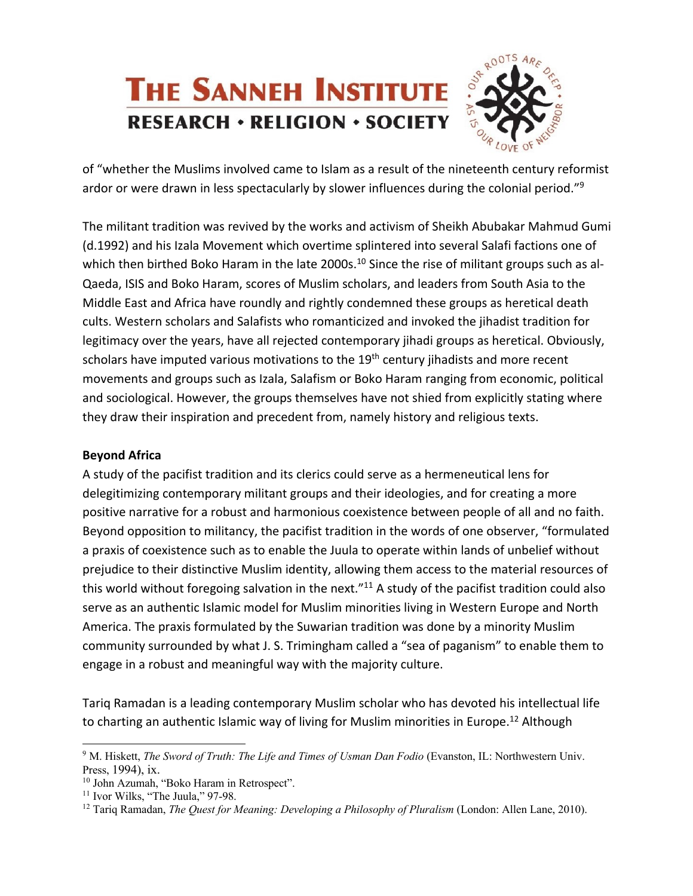

of "whether the Muslims involved came to Islam as a result of the nineteenth century reformist ardor or were drawn in less spectacularly by slower influences during the colonial period." $9$ 

The militant tradition was revived by the works and activism of Sheikh Abubakar Mahmud Gumi (d.1992) and his Izala Movement which overtime splintered into several Salafi factions one of which then birthed Boko Haram in the late 2000s.<sup>10</sup> Since the rise of militant groups such as al-Qaeda, ISIS and Boko Haram, scores of Muslim scholars, and leaders from South Asia to the Middle East and Africa have roundly and rightly condemned these groups as heretical death cults. Western scholars and Salafists who romanticized and invoked the jihadist tradition for legitimacy over the years, have all rejected contemporary jihadi groups as heretical. Obviously, scholars have imputed various motivations to the 19<sup>th</sup> century jihadists and more recent movements and groups such as Izala, Salafism or Boko Haram ranging from economic, political and sociological. However, the groups themselves have not shied from explicitly stating where they draw their inspiration and precedent from, namely history and religious texts.

## **Beyond Africa**

A study of the pacifist tradition and its clerics could serve as a hermeneutical lens for delegitimizing contemporary militant groups and their ideologies, and for creating a more positive narrative for a robust and harmonious coexistence between people of all and no faith. Beyond opposition to militancy, the pacifist tradition in the words of one observer, "formulated a praxis of coexistence such as to enable the Juula to operate within lands of unbelief without prejudice to their distinctive Muslim identity, allowing them access to the material resources of this world without foregoing salvation in the next."<sup>11</sup> A study of the pacifist tradition could also serve as an authentic Islamic model for Muslim minorities living in Western Europe and North America. The praxis formulated by the Suwarian tradition was done by a minority Muslim community surrounded by what J. S. Trimingham called a "sea of paganism" to enable them to engage in a robust and meaningful way with the majority culture.

Tariq Ramadan is a leading contemporary Muslim scholar who has devoted his intellectual life to charting an authentic Islamic way of living for Muslim minorities in Europe.<sup>12</sup> Although

<sup>9</sup> M. Hiskett, *The Sword of Truth: The Life and Times of Usman Dan Fodio* (Evanston, IL: Northwestern Univ. Press, 1994), ix.

<sup>&</sup>lt;sup>10</sup> John Azumah, "Boko Haram in Retrospect".

 $11$  Ivor Wilks, "The Juula," 97-98.

<sup>12</sup> Tariq Ramadan, *The Quest for Meaning: Developing a Philosophy of Pluralism* (London: Allen Lane, 2010).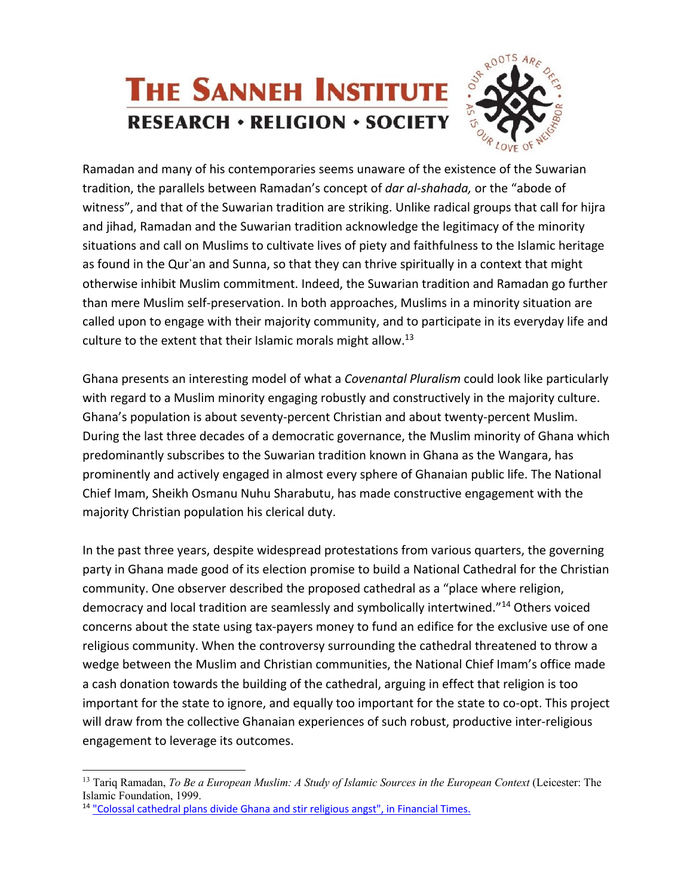

Ramadan and many of his contemporaries seems unaware of the existence of the Suwarian tradition, the parallels between Ramadan's concept of *dar al-shahada,* or the "abode of witness", and that of the Suwarian tradition are striking. Unlike radical groups that call for hijra and jihad, Ramadan and the Suwarian tradition acknowledge the legitimacy of the minority situations and call on Muslims to cultivate lives of piety and faithfulness to the Islamic heritage as found in the Qurʾan and Sunna, so that they can thrive spiritually in a context that might otherwise inhibit Muslim commitment. Indeed, the Suwarian tradition and Ramadan go further than mere Muslim self-preservation. In both approaches, Muslims in a minority situation are called upon to engage with their majority community, and to participate in its everyday life and culture to the extent that their Islamic morals might allow.<sup>13</sup>

Ghana presents an interesting model of what a *Covenantal Pluralism* could look like particularly with regard to a Muslim minority engaging robustly and constructively in the majority culture. Ghana's population is about seventy-percent Christian and about twenty-percent Muslim. During the last three decades of a democratic governance, the Muslim minority of Ghana which predominantly subscribes to the Suwarian tradition known in Ghana as the Wangara, has prominently and actively engaged in almost every sphere of Ghanaian public life. The National Chief Imam, Sheikh Osmanu Nuhu Sharabutu, has made constructive engagement with the majority Christian population his clerical duty.

In the past three years, despite widespread protestations from various quarters, the governing party in Ghana made good of its election promise to build a National Cathedral for the Christian community. One observer described the proposed cathedral as a "place where religion, democracy and local tradition are seamlessly and symbolically intertwined."14 Others voiced concerns about the state using tax-payers money to fund an edifice for the exclusive use of one religious community. When the controversy surrounding the cathedral threatened to throw a wedge between the Muslim and Christian communities, the National Chief Imam's office made a cash donation towards the building of the cathedral, arguing in effect that religion is too important for the state to ignore, and equally too important for the state to co-opt. This project will draw from the collective Ghanaian experiences of such robust, productive inter-religious engagement to leverage its outcomes.

<sup>13</sup> Tariq Ramadan, *To Be a European Muslim: A Study of Islamic Sources in the European Context* (Leicester: The Islamic Foundation, 1999.

<sup>&</sup>lt;sup>14</sup> "Colossal cathedral plans divide Ghana and stir religious angst", in Financial Times.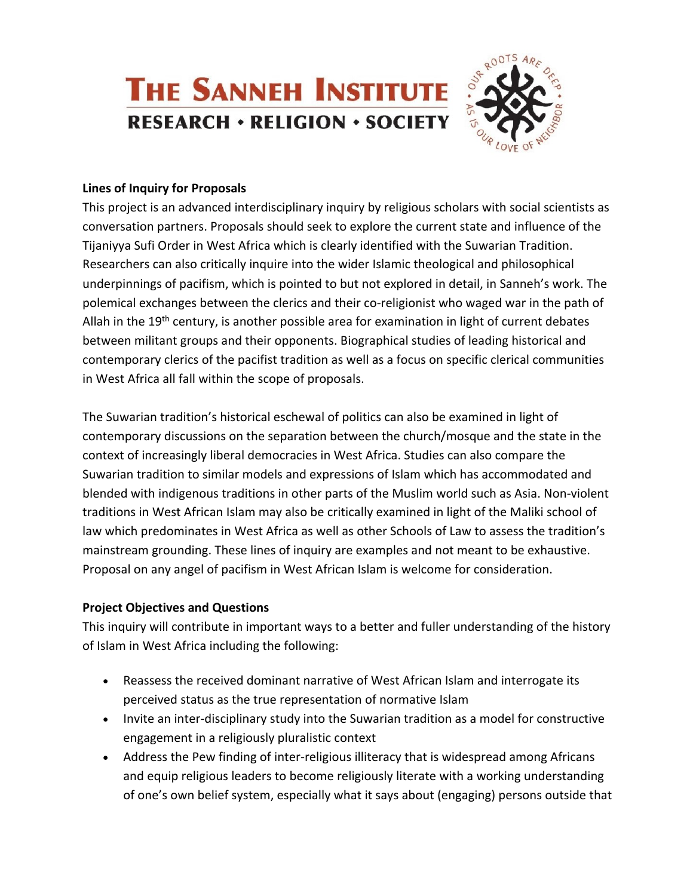

#### **Lines of Inquiry for Proposals**

This project is an advanced interdisciplinary inquiry by religious scholars with social scientists as conversation partners. Proposals should seek to explore the current state and influence of the Tijaniyya Sufi Order in West Africa which is clearly identified with the Suwarian Tradition. Researchers can also critically inquire into the wider Islamic theological and philosophical underpinnings of pacifism, which is pointed to but not explored in detail, in Sanneh's work. The polemical exchanges between the clerics and their co-religionist who waged war in the path of Allah in the 19<sup>th</sup> century, is another possible area for examination in light of current debates between militant groups and their opponents. Biographical studies of leading historical and contemporary clerics of the pacifist tradition as well as a focus on specific clerical communities in West Africa all fall within the scope of proposals.

The Suwarian tradition's historical eschewal of politics can also be examined in light of contemporary discussions on the separation between the church/mosque and the state in the context of increasingly liberal democracies in West Africa. Studies can also compare the Suwarian tradition to similar models and expressions of Islam which has accommodated and blended with indigenous traditions in other parts of the Muslim world such as Asia. Non-violent traditions in West African Islam may also be critically examined in light of the Maliki school of law which predominates in West Africa as well as other Schools of Law to assess the tradition's mainstream grounding. These lines of inquiry are examples and not meant to be exhaustive. Proposal on any angel of pacifism in West African Islam is welcome for consideration.

# **Project Objectives and Questions**

This inquiry will contribute in important ways to a better and fuller understanding of the history of Islam in West Africa including the following:

- Reassess the received dominant narrative of West African Islam and interrogate its perceived status as the true representation of normative Islam
- Invite an inter-disciplinary study into the Suwarian tradition as a model for constructive engagement in a religiously pluralistic context
- Address the Pew finding of inter-religious illiteracy that is widespread among Africans and equip religious leaders to become religiously literate with a working understanding of one's own belief system, especially what it says about (engaging) persons outside that